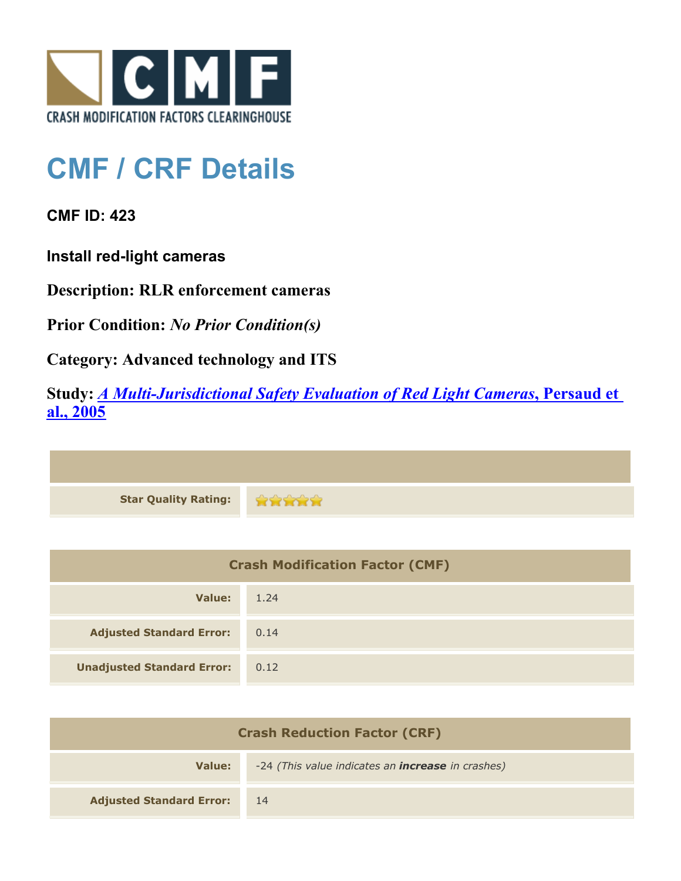

## **CMF / CRF Details**

**CMF ID: 423**

**Install red-light cameras**

**Description: RLR enforcement cameras**

**Prior Condition:** *No Prior Condition(s)*

**Category: Advanced technology and ITS**

**Study:** *[A Multi-Jurisdictional Safety Evaluation of Red Light Cameras](http://www.cmfclearinghouse.org/study_detail.cfm?stid=47)***[, Persaud et](http://www.cmfclearinghouse.org/study_detail.cfm?stid=47) [al., 2005](http://www.cmfclearinghouse.org/study_detail.cfm?stid=47)**

| Star Quality Rating: |  |
|----------------------|--|

| <b>Crash Modification Factor (CMF)</b> |      |
|----------------------------------------|------|
| Value:                                 | 1.24 |
| <b>Adjusted Standard Error:</b>        | 0.14 |
| <b>Unadjusted Standard Error:</b>      | 0.12 |

| <b>Crash Reduction Factor (CRF)</b> |                                                          |
|-------------------------------------|----------------------------------------------------------|
| Value:                              | -24 (This value indicates an <b>increase</b> in crashes) |
| <b>Adjusted Standard Error:</b>     | <sup>14</sup>                                            |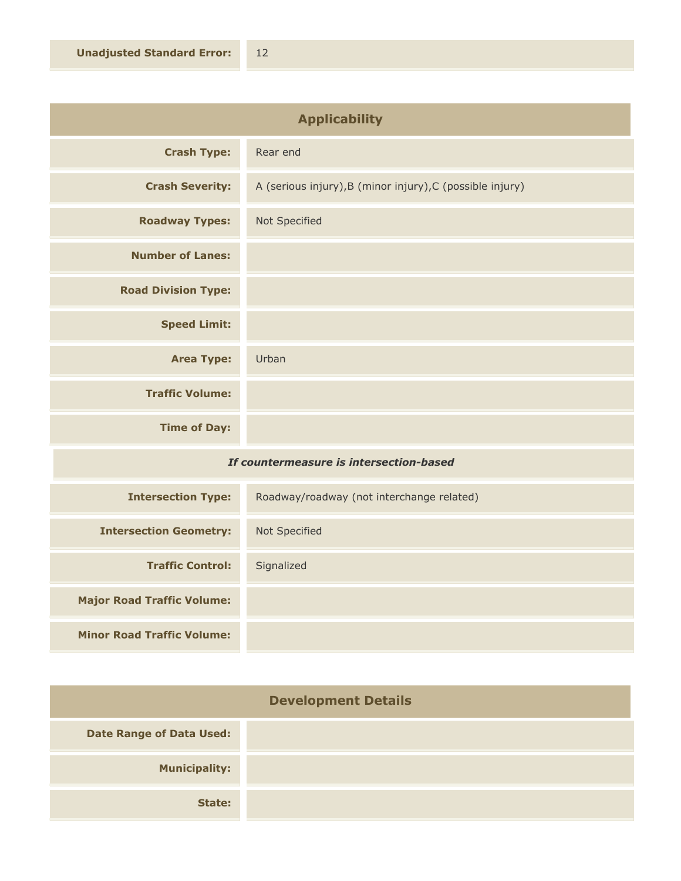| <b>Applicability</b>                    |                                                           |
|-----------------------------------------|-----------------------------------------------------------|
| <b>Crash Type:</b>                      | Rear end                                                  |
| <b>Crash Severity:</b>                  | A (serious injury), B (minor injury), C (possible injury) |
| <b>Roadway Types:</b>                   | Not Specified                                             |
| <b>Number of Lanes:</b>                 |                                                           |
| <b>Road Division Type:</b>              |                                                           |
| <b>Speed Limit:</b>                     |                                                           |
| <b>Area Type:</b>                       | Urban                                                     |
| <b>Traffic Volume:</b>                  |                                                           |
| <b>Time of Day:</b>                     |                                                           |
| If countermeasure is intersection-based |                                                           |

| <b>Intersection Type:</b>         | Roadway/roadway (not interchange related) |
|-----------------------------------|-------------------------------------------|
| <b>Intersection Geometry:</b>     | Not Specified                             |
| <b>Traffic Control:</b>           | Signalized                                |
| <b>Major Road Traffic Volume:</b> |                                           |
| <b>Minor Road Traffic Volume:</b> |                                           |

| <b>Development Details</b>      |  |
|---------------------------------|--|
| <b>Date Range of Data Used:</b> |  |
| <b>Municipality:</b>            |  |
| State:                          |  |